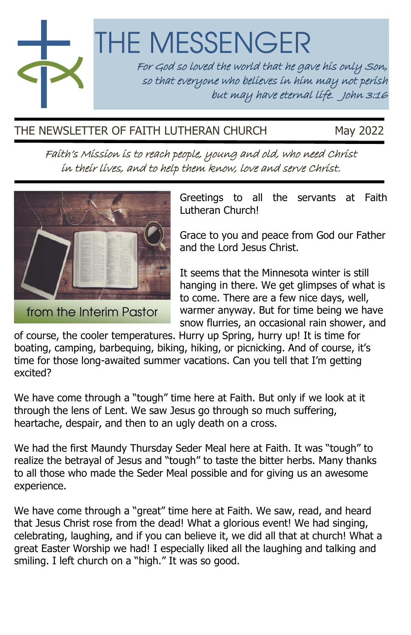THE MESSENGER For God so loved the world that he gave his only Son, so that everyone who believes in him may not perish but may have eternal life. John 3:16

THE NEWSLETTER OF FAITH LUTHERAN CHURCH May 2022

in their lives, and to help them know, love and serve Christ.

Faith's Mission is to reach people, young and old, who need Christ

Greetings to all the servants at Faith Lutheran Church!

Grace to you and peace from God our Father and the Lord Jesus Christ.

It seems that the Minnesota winter is still hanging in there. We get glimpses of what is to come. There are a few nice days, well, warmer anyway. But for time being we have snow flurries, an occasional rain shower, and

of course, the cooler temperatures. Hurry up Spring, hurry up! It is time for boating, camping, barbequing, biking, hiking, or picnicking. And of course, it's time for those long-awaited summer vacations. Can you tell that I'm getting excited?

We have come through a "tough" time here at Faith. But only if we look at it through the lens of Lent. We saw Jesus go through so much suffering, heartache, despair, and then to an ugly death on a cross.

We had the first Maundy Thursday Seder Meal here at Faith. It was "tough" to realize the betrayal of Jesus and "tough" to taste the bitter herbs. Many thanks to all those who made the Seder Meal possible and for giving us an awesome experience.

We have come through a "great" time here at Faith. We saw, read, and heard that Jesus Christ rose from the dead! What a glorious event! We had singing, celebrating, laughing, and if you can believe it, we did all that at church! What a great Easter Worship we had! I especially liked all the laughing and talking and smiling. I left church on a "high." It was so good.



from the Interim Pastor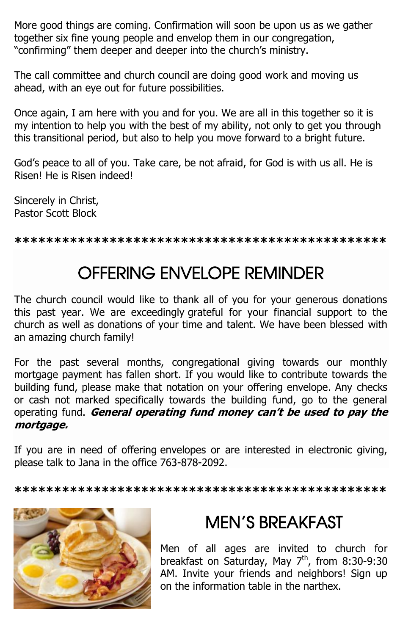More good things are coming. Confirmation will soon be upon us as we gather together six fine young people and envelop them in our congregation, "confirming" them deeper and deeper into the church's ministry.

The call committee and church council are doing good work and moving us ahead, with an eye out for future possibilities.

Once again, I am here with you and for you. We are all in this together so it is my intention to help you with the best of my ability, not only to get you through this transitional period, but also to help you move forward to a bright future.

God's peace to all of you. Take care, be not afraid, for God is with us all. He is Risen! He is Risen indeed!

Sincerely in Christ, Pastor Scott Block

**\*\*\*\*\*\*\*\*\*\*\*\*\*\*\*\*\*\*\*\*\*\*\*\*\*\*\*\*\*\*\*\*\*\*\*\*\*\*\*\*\*\*\*\*\*\*\***

## OFFERING ENVELOPE REMINDER

The church council would like to thank all of you for your generous donations this past year. We are exceedingly grateful for your financial support to the church as well as donations of your time and talent. We have been blessed with an amazing church family!

For the past several months, congregational giving towards our monthly mortgage payment has fallen short. If you would like to contribute towards the building fund, please make that notation on your offering envelope. Any checks or cash not marked specifically towards the building fund, go to the general operating fund. **General operating fund money can't be used to pay the mortgage.**

If you are in need of offering envelopes or are interested in electronic giving, please talk to Jana in the office 763-878-2092.

**\*\*\*\*\*\*\*\*\*\*\*\*\*\*\*\*\*\*\*\*\*\*\*\*\*\*\*\*\*\*\*\*\*\*\*\*\*\*\*\*\*\*\*\*\*\*\***



## MEN'S BREAKFAST

Men of all ages are invited to church for breakfast on Saturday, May 7<sup>th</sup>, from 8:30-9:30 AM. Invite your friends and neighbors! Sign up on the information table in the narthex.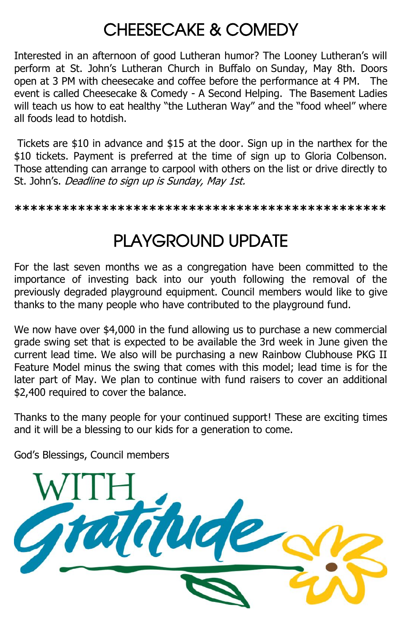## CHEESECAKE & COMEDY

Interested in an afternoon of good Lutheran humor? The Looney Lutheran's will perform at St. John's Lutheran Church in Buffalo on Sunday, May 8th. Doors open at 3 PM with cheesecake and coffee before the performance at 4 PM. The event is called Cheesecake & Comedy - A Second Helping. The Basement Ladies will teach us how to eat healthy "the Lutheran Way" and the "food wheel" where all foods lead to hotdish.

Tickets are \$10 in advance and \$15 at the door. Sign up in the narthex for the \$10 tickets. Payment is preferred at the time of sign up to Gloria Colbenson. Those attending can arrange to carpool with others on the list or drive directly to St. John's. Deadline to sign up is Sunday, May 1st.

#### **\*\*\*\*\*\*\*\*\*\*\*\*\*\*\*\*\*\*\*\*\*\*\*\*\*\*\*\*\*\*\*\*\*\*\*\*\*\*\*\*\*\*\*\*\*\*\***

## PLAYGROUND UPDATE

For the last seven months we as a congregation have been committed to the importance of investing back into our youth following the removal of the previously degraded playground equipment. Council members would like to give thanks to the many people who have contributed to the playground fund.

We now have over \$4,000 in the fund allowing us to purchase a new commercial grade swing set that is expected to be available the 3rd week in June given the current lead time. We also will be purchasing a new Rainbow Clubhouse PKG II Feature Model minus the swing that comes with this model; lead time is for the later part of May. We plan to continue with fund raisers to cover an additional \$2,400 required to cover the balance.

Thanks to the many people for your continued support! These are exciting times and it will be a blessing to our kids for a generation to come.

God's Blessings, Council members

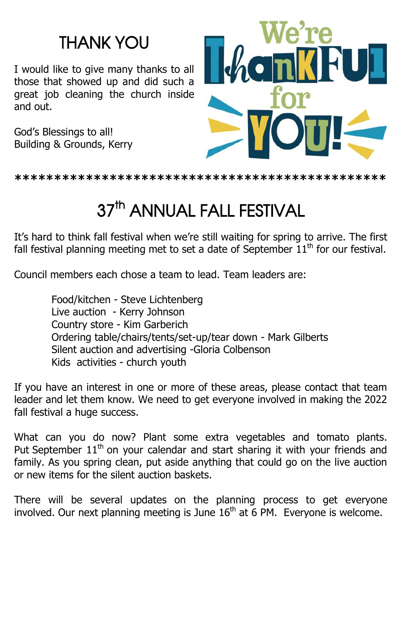## THANK YOU

I would like to give many thanks to all those that showed up and did such a great job cleaning the church inside and out.

God's Blessings to all! Building & Grounds, Kerry



**\*\*\*\*\*\*\*\*\*\*\*\*\*\*\*\*\*\*\*\*\*\*\*\*\*\*\*\*\*\*\*\*\*\*\*\*\*\*\*\*\*\*\*\*\*\*\***

# 37<sup>th</sup> ANNUAL FALL FESTIVAL

It's hard to think fall festival when we're still waiting for spring to arrive. The first fall festival planning meeting met to set a date of September  $11<sup>th</sup>$  for our festival.

Council members each chose a team to lead. Team leaders are:

Food/kitchen - Steve Lichtenberg Live auction - Kerry Johnson Country store - Kim Garberich Ordering table/chairs/tents/set-up/tear down - Mark Gilberts Silent auction and advertising -Gloria Colbenson Kids activities - church youth

If you have an interest in one or more of these areas, please contact that team leader and let them know. We need to get everyone involved in making the 2022 fall festival a huge success.

What can you do now? Plant some extra vegetables and tomato plants. Put September  $11<sup>th</sup>$  on your calendar and start sharing it with your friends and family. As you spring clean, put aside anything that could go on the live auction or new items for the silent auction baskets.

There will be several updates on the planning process to get everyone involved. Our next planning meeting is June  $16<sup>th</sup>$  at 6 PM. Everyone is welcome.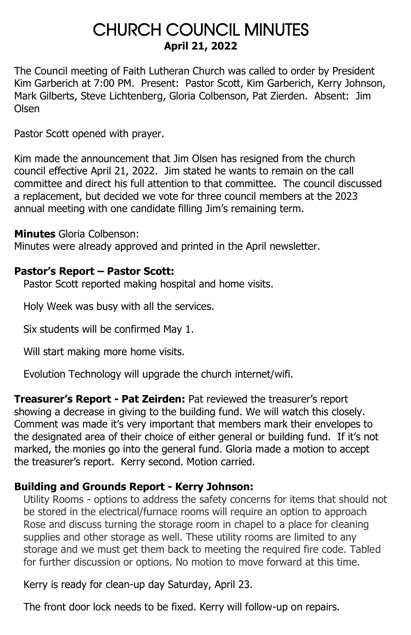### CHURCH COUNCIL MINUTES **April 21, 2022**

The Council meeting of Faith Lutheran Church was called to order by President Kim Garberich at 7:00 PM. Present: Pastor Scott, Kim Garberich, Kerry Johnson, Mark Gilberts, Steve Lichtenberg, Gloria Colbenson, Pat Zierden. Absent: Jim Olsen

Pastor Scott opened with prayer.

Kim made the announcement that Jim Olsen has resigned from the church council effective April 21, 2022. Jim stated he wants to remain on the call committee and direct his full attention to that committee. The council discussed a replacement, but decided we vote for three council members at the 2023 annual meeting with one candidate filling Jim's remaining term.

**Minutes** Gloria Colbenson:

Minutes were already approved and printed in the April newsletter.

### **Pastor's Report – Pastor Scott:**

Pastor Scott reported making hospital and home visits.

Holy Week was busy with all the services.

Six students will be confirmed May 1.

Will start making more home visits.

Evolution Technology will upgrade the church internet/wifi.

**Treasurer's Report - Pat Zeirden:** Pat reviewed the treasurer's report showing a decrease in giving to the building fund. We will watch this closely. Comment was made it's very important that members mark their envelopes to the designated area of their choice of either general or building fund. If it's not marked, the monies go into the general fund. Gloria made a motion to accept the treasurer's report. Kerry second. Motion carried.

### **Building and Grounds Report - Kerry Johnson:**

Utility Rooms - options to address the safety concerns for items that should not be stored in the electrical/furnace rooms will require an option to approach Rose and discuss turning the storage room in chapel to a place for cleaning supplies and other storage as well. These utility rooms are limited to any storage and we must get them back to meeting the required fire code. Tabled for further discussion or options. No motion to move forward at this time.

Kerry is ready for clean-up day Saturday, April 23.

The front door lock needs to be fixed. Kerry will follow-up on repairs.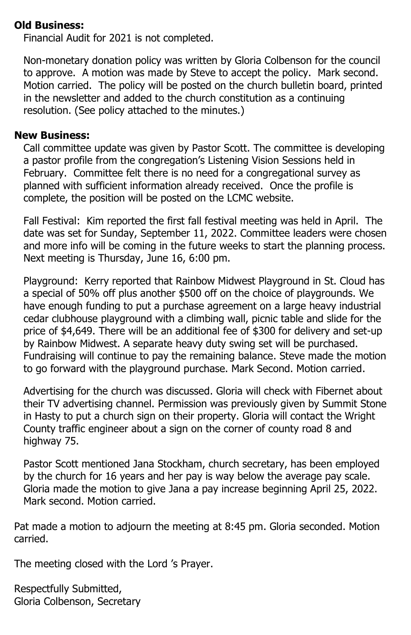### **Old Business:**

Financial Audit for 2021 is not completed.

Non-monetary donation policy was written by Gloria Colbenson for the council to approve. A motion was made by Steve to accept the policy. Mark second. Motion carried. The policy will be posted on the church bulletin board, printed in the newsletter and added to the church constitution as a continuing resolution. (See policy attached to the minutes.)

### **New Business:**

Call committee update was given by Pastor Scott. The committee is developing a pastor profile from the congregation's Listening Vision Sessions held in February. Committee felt there is no need for a congregational survey as planned with sufficient information already received. Once the profile is complete, the position will be posted on the LCMC website.

Fall Festival: Kim reported the first fall festival meeting was held in April. The date was set for Sunday, September 11, 2022. Committee leaders were chosen and more info will be coming in the future weeks to start the planning process. Next meeting is Thursday, June 16, 6:00 pm.

Playground: Kerry reported that Rainbow Midwest Playground in St. Cloud has a special of 50% off plus another \$500 off on the choice of playgrounds. We have enough funding to put a purchase agreement on a large heavy industrial cedar clubhouse playground with a climbing wall, picnic table and slide for the price of \$4,649. There will be an additional fee of \$300 for delivery and set-up by Rainbow Midwest. A separate heavy duty swing set will be purchased. Fundraising will continue to pay the remaining balance. Steve made the motion to go forward with the playground purchase. Mark Second. Motion carried.

Advertising for the church was discussed. Gloria will check with Fibernet about their TV advertising channel. Permission was previously given by Summit Stone in Hasty to put a church sign on their property. Gloria will contact the Wright County traffic engineer about a sign on the corner of county road 8 and highway 75.

Pastor Scott mentioned Jana Stockham, church secretary, has been employed by the church for 16 years and her pay is way below the average pay scale. Gloria made the motion to give Jana a pay increase beginning April 25, 2022. Mark second. Motion carried.

Pat made a motion to adjourn the meeting at 8:45 pm. Gloria seconded. Motion carried.

The meeting closed with the Lord 's Prayer.

Respectfully Submitted, Gloria Colbenson, Secretary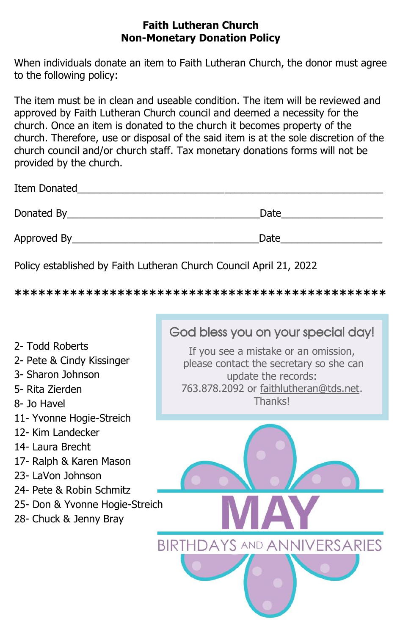### **Faith Lutheran Church Non-Monetary Donation Policy**

When individuals donate an item to Faith Lutheran Church, the donor must agree to the following policy:

The item must be in clean and useable condition. The item will be reviewed and approved by Faith Lutheran Church council and deemed a necessity for the church. Once an item is donated to the church it becomes property of the church. Therefore, use or disposal of the said item is at the sole discretion of the church council and/or church staff. Tax monetary donations forms will not be provided by the church.

| Item Donated |      |
|--------------|------|
| Donated By   | Date |
| Approved By  | Date |

Policy established by Faith Lutheran Church Council April 21, 2022

**\*\*\*\*\*\*\*\*\*\*\*\*\*\*\*\*\*\*\*\*\*\*\*\*\*\*\*\*\*\*\*\*\*\*\*\*\*\*\*\*\*\*\*\*\*\*\***